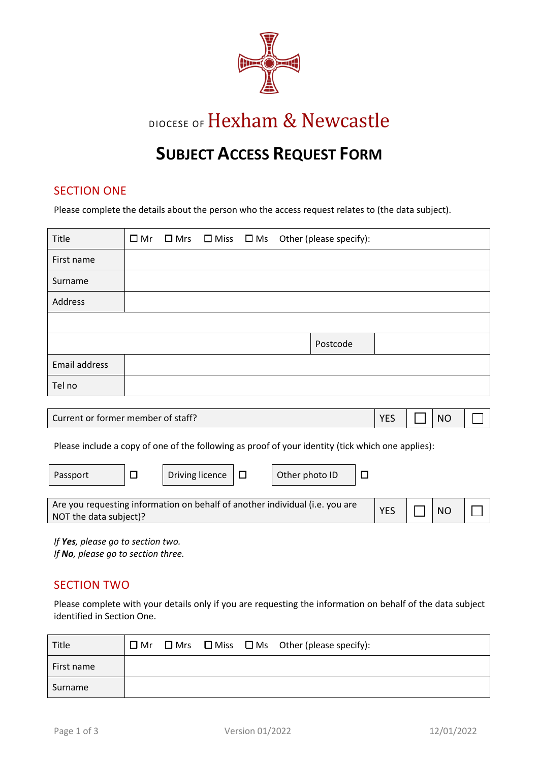

DIOCESE OF Hexham & Newcastle

# **SUBJECT ACCESS REQUEST FORM**

### SECTION ONE

Please complete the details about the person who the access request relates to (the data subject).

| Title         |  |  | $\Box$ Mr $\Box$ Mrs $\Box$ Miss $\Box$ Ms Other (please specify): |
|---------------|--|--|--------------------------------------------------------------------|
| First name    |  |  |                                                                    |
| Surname       |  |  |                                                                    |
| Address       |  |  |                                                                    |
|               |  |  |                                                                    |
|               |  |  | Postcode                                                           |
| Email address |  |  |                                                                    |
| Tel no        |  |  |                                                                    |

| Current or former member of staff? | <b>VEC</b><br>-- |  | N <sub>C</sub> |  |  |
|------------------------------------|------------------|--|----------------|--|--|
|------------------------------------|------------------|--|----------------|--|--|

Please include a copy of one of the following as proof of your identity (tick which one applies):

| Passport                                                                     |  | Driving licence |  | Other photo ID |  |            |                |  |
|------------------------------------------------------------------------------|--|-----------------|--|----------------|--|------------|----------------|--|
|                                                                              |  |                 |  |                |  |            |                |  |
| Are you requesting information on behalf of another individual (i.e. you are |  |                 |  |                |  | <b>YES</b> | N <sub>O</sub> |  |
| NOT the data subject)?                                                       |  |                 |  |                |  |            |                |  |

*If Yes, please go to section two. If No, please go to section three.* 

# SECTION TWO

Please complete with your details only if you are requesting the information on behalf of the data subject identified in Section One.

| Title      |  |  | $\Box$ Mr $\Box$ Mrs $\Box$ Miss $\Box$ Ms Other (please specify): |
|------------|--|--|--------------------------------------------------------------------|
| First name |  |  |                                                                    |
| Surname    |  |  |                                                                    |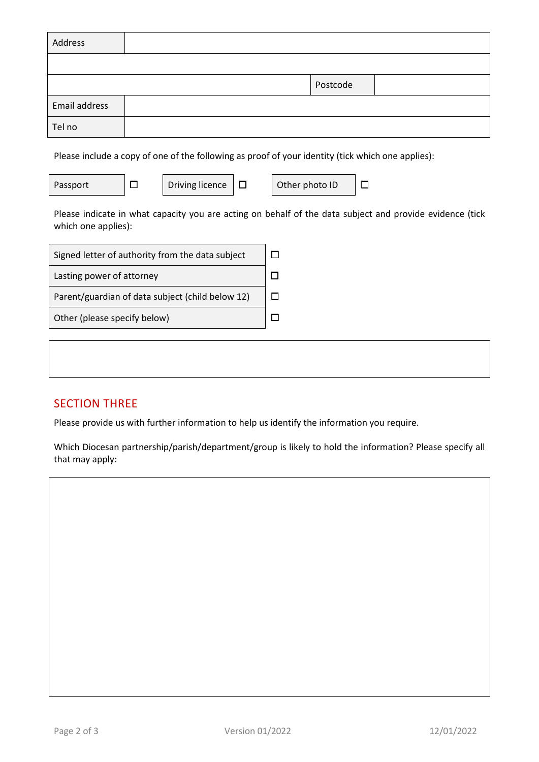| Address       |          |  |
|---------------|----------|--|
|               |          |  |
|               | Postcode |  |
| Email address |          |  |
| Tel no        |          |  |

Please include a copy of one of the following as proof of your identity (tick which one applies):

Passport  $\Box$  Driving licence  $\Box$  Other photo ID  $\Box$ 

Please indicate in what capacity you are acting on behalf of the data subject and provide evidence (tick which one applies):

| Signed letter of authority from the data subject |  |
|--------------------------------------------------|--|
| Lasting power of attorney                        |  |
| Parent/guardian of data subject (child below 12) |  |
| Other (please specify below)                     |  |

# SECTION THREE

Please provide us with further information to help us identify the information you require.

Which Diocesan partnership/parish/department/group is likely to hold the information? Please specify all that may apply: